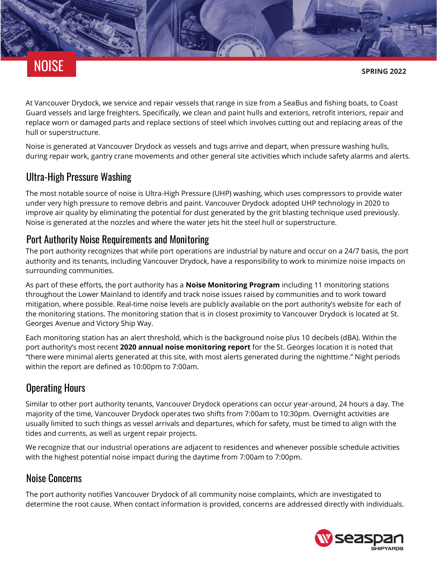

**SPRING 2022**

At Vancouver Drydock, we service and repair vessels that range in size from a SeaBus and fishing boats, to Coast Guard vessels and large freighters. Specifically, we clean and paint hulls and exteriors, retrofit interiors, repair and replace worn or damaged parts and replace sections of steel which involves cutting out and replacing areas of the hull or superstructure.

Noise is generated at Vancouver Drydock as vessels and tugs arrive and depart, when pressure washing hulls, during repair work, gantry crane movements and other general site activities which include safety alarms and alerts.

## Ultra-High Pressure Washing

The most notable source of noise is Ultra-High Pressure (UHP) washing, which uses compressors to provide water under very high pressure to remove debris and paint. Vancouver Drydock adopted UHP technology in 2020 to improve air quality by eliminating the potential for dust generated by the grit blasting technique used previously. Noise is generated at the nozzles and where the water jets hit the steel hull or superstructure.

#### Port Authority Noise Requirements and Monitoring

The port authority recognizes that while port operations are industrial by nature and occur on a 24/7 basis, the port authority and its tenants, including Vancouver Drydock, have a responsibility to work to minimize [noise](https://www.portvancouver.com/?page_id=4652) impacts on surrounding communities.

As part of these efforts, the port authority has a **[Noise Monitoring Program](https://seti-media.com/infopopulation/port_vancouver/)** including 11 monitoring stations throughout the Lower Mainland to identify and track noise issues raised by communities and to work toward mitigation, where possible. Real-time noise levels are publicly available on the port authority's website for each of the monitoring stations. The monitoring station that is in closest proximity to Vancouver Drydock is located at St. Georges Avenue and Victory Ship Way.

Each monitoring station has an alert threshold, which is the background noise plus 10 decibels (dBA). Within the port authority's most recent **[2020 annual noise monitoring report](https://www.portvancouver.com/wp-content/uploads/2021/11/2020-Annual-Report-with-Summary.pdf)** for the St. Georges location it is noted that "there were minimal alerts generated at this site, with most alerts generated during the nighttime." Night periods within the report are defined as 10:00pm to 7:00am.

# Operating Hours

Similar to other port authority tenants, Vancouver Drydock operations can occur year-around, 24 hours a day. The majority of the time, Vancouver Drydock operates two shifts from 7:00am to 10:30pm. Overnight activities are usually limited to such things as vessel arrivals and departures, which for safety, must be timed to align with the tides and currents, as well as urgent repair projects.

We recognize that our industrial operations are adjacent to residences and whenever possible schedule activities with the highest potential noise impact during the daytime from 7:00am to 7:00pm.

## Noise Concerns

The port authority notifies Vancouver Drydock of all community noise complaints, which are investigated to determine the root cause. When contact information is provided, concerns are addressed directly with individuals.